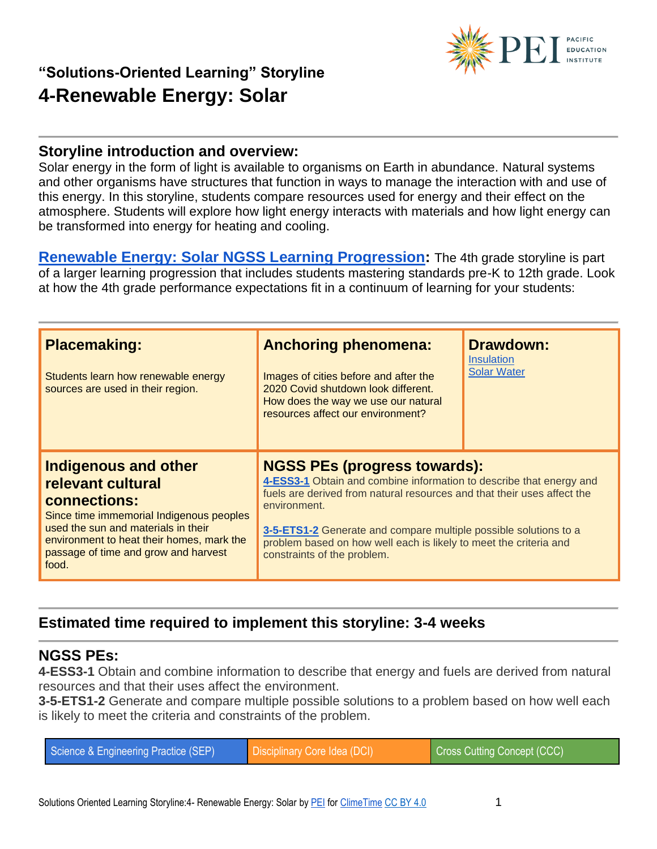

#### **Storyline introduction and overview:**

Solar energy in the form of light is available to organisms on Earth in abundance. Natural systems and other organisms have structures that function in ways to manage the interaction with and use of this energy. In this storyline, students compare resources used for energy and their effect on the atmosphere. Students will explore how light energy interacts with materials and how light energy can be transformed into energy for heating and cooling.

**[Renewable Energy: Solar NGSS Learning Progression:](https://pacificeductioninstitute.sharepoint.com/:x:/s/Program/EY60DFvGUuZJjikn2P8aFigBva60ASyBZ8MJ7JF9vheITA?e=gSmNXr)** The 4th grade storyline is part of a larger learning progression that includes students mastering standards pre-K to 12th grade. Look at how the 4th grade performance expectations fit in a continuum of learning for your students:

| <b>Placemaking:</b><br>Students learn how renewable energy<br>sources are used in their region.                                                                                                                                                   | <b>Anchoring phenomena:</b><br>Images of cities before and after the<br>2020 Covid shutdown look different.<br>How does the way we use our natural<br>resources affect our environment?                                                                                                                                                                                       | <b>Drawdown:</b><br><i><u><b>Insulation</b></u></i><br><b>Solar Water</b> |
|---------------------------------------------------------------------------------------------------------------------------------------------------------------------------------------------------------------------------------------------------|-------------------------------------------------------------------------------------------------------------------------------------------------------------------------------------------------------------------------------------------------------------------------------------------------------------------------------------------------------------------------------|---------------------------------------------------------------------------|
| <b>Indigenous and other</b><br>relevant cultural<br>connections:<br>Since time immemorial Indigenous peoples<br>used the sun and materials in their<br>environment to heat their homes, mark the<br>passage of time and grow and harvest<br>food. | <b>NGSS PEs (progress towards):</b><br>4-ESS3-1 Obtain and combine information to describe that energy and<br>fuels are derived from natural resources and that their uses affect the<br>environment.<br>3-5-ETS1-2 Generate and compare multiple possible solutions to a<br>problem based on how well each is likely to meet the criteria and<br>constraints of the problem. |                                                                           |

## **Estimated time required to implement this storyline: 3-4 weeks**

#### **NGSS PEs:**

**4-ESS3-1** Obtain and combine information to describe that energy and fuels are derived from natural resources and that their uses affect the environment.

**3-5-ETS1-2** Generate and compare multiple possible solutions to a problem based on how well each is likely to meet the criteria and constraints of the problem.

| Science & Engineering Practice (SEP) | Disciplinary Core Idea (DCI) | Cross Cutting Concept (CCC) |
|--------------------------------------|------------------------------|-----------------------------|
|--------------------------------------|------------------------------|-----------------------------|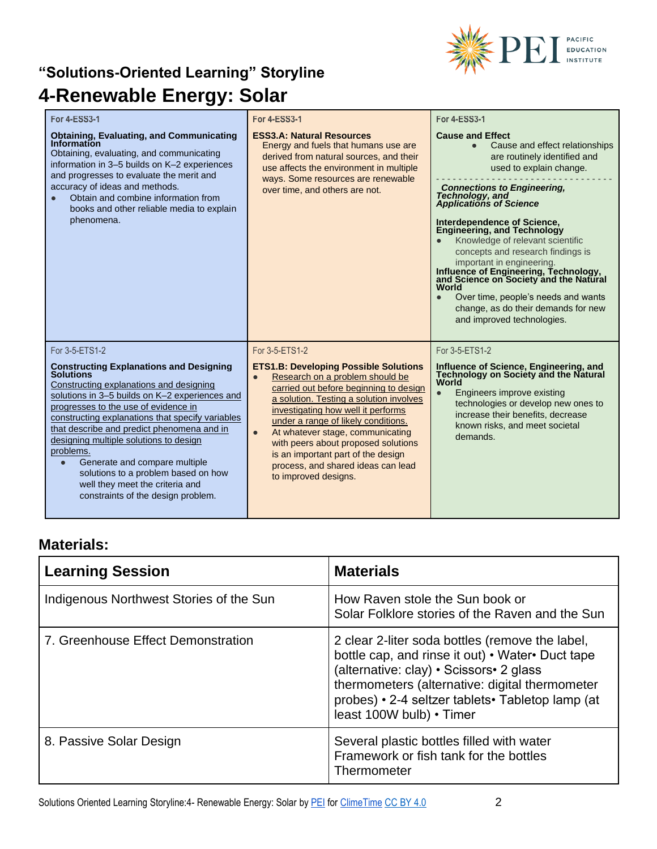

| <b>For 4-ESS3-1</b>                                                                                                                                                                                                                                                                                                                                                                                                                                                                                                                              | <b>For 4-ESS3-1</b>                                                                                                                                                                                                                                                                                                                                                                                                                                                          | <b>For 4-ESS3-1</b>                                                                                                                                                                                                                                                                                                                                                                                                                                                                                                                                                                                                                  |
|--------------------------------------------------------------------------------------------------------------------------------------------------------------------------------------------------------------------------------------------------------------------------------------------------------------------------------------------------------------------------------------------------------------------------------------------------------------------------------------------------------------------------------------------------|------------------------------------------------------------------------------------------------------------------------------------------------------------------------------------------------------------------------------------------------------------------------------------------------------------------------------------------------------------------------------------------------------------------------------------------------------------------------------|--------------------------------------------------------------------------------------------------------------------------------------------------------------------------------------------------------------------------------------------------------------------------------------------------------------------------------------------------------------------------------------------------------------------------------------------------------------------------------------------------------------------------------------------------------------------------------------------------------------------------------------|
| <b>Obtaining, Evaluating, and Communicating</b><br>Information<br>Obtaining, evaluating, and communicating<br>information in 3-5 builds on K-2 experiences<br>and progresses to evaluate the merit and<br>accuracy of ideas and methods.<br>Obtain and combine information from<br>books and other reliable media to explain<br>phenomena.                                                                                                                                                                                                       | <b>ESS3.A: Natural Resources</b><br>Energy and fuels that humans use are<br>derived from natural sources, and their<br>use affects the environment in multiple<br>ways. Some resources are renewable<br>over time, and others are not.                                                                                                                                                                                                                                       | <b>Cause and Effect</b><br>Cause and effect relationships<br>$\bullet$<br>are routinely identified and<br>used to explain change.<br><b>Connections to Engineering.</b><br><b>Technology</b> , and<br><b>Applications of Science</b><br>Interdependence of Science,<br><b>Engineering, and Technology</b><br>Knowledge of relevant scientific<br>concepts and research findings is<br>important in engineering.<br>Influence of Engineering, Technology,<br>and Science on Society and the Natural<br>World<br>Over time, people's needs and wants<br>$\bullet$<br>change, as do their demands for new<br>and improved technologies. |
| For 3-5-ETS1-2<br><b>Constructing Explanations and Designing</b><br><b>Solutions</b><br>Constructing explanations and designing<br>solutions in 3-5 builds on K-2 experiences and<br>progresses to the use of evidence in<br>constructing explanations that specify variables<br>that describe and predict phenomena and in<br>designing multiple solutions to design<br>problems.<br>Generate and compare multiple<br>$\bullet$<br>solutions to a problem based on how<br>well they meet the criteria and<br>constraints of the design problem. | For 3-5-ETS1-2<br><b>ETS1.B: Developing Possible Solutions</b><br>Research on a problem should be<br>$\bullet$<br>carried out before beginning to design<br>a solution. Testing a solution involves<br>investigating how well it performs<br>under a range of likely conditions.<br>At whatever stage, communicating<br>$\bullet$<br>with peers about proposed solutions<br>is an important part of the design<br>process, and shared ideas can lead<br>to improved designs. | For 3-5-ETS1-2<br>Influence of Science, Engineering, and<br>Technology on Society and the Natural<br>World<br>Engineers improve existing<br>$\bullet$<br>technologies or develop new ones to<br>increase their benefits, decrease<br>known risks, and meet societal<br>demands.                                                                                                                                                                                                                                                                                                                                                      |

## **Materials:**

| <b>Learning Session</b>                 | <b>Materials</b>                                                                                                                                                                                                                                                                  |
|-----------------------------------------|-----------------------------------------------------------------------------------------------------------------------------------------------------------------------------------------------------------------------------------------------------------------------------------|
| Indigenous Northwest Stories of the Sun | How Raven stole the Sun book or<br>Solar Folklore stories of the Raven and the Sun                                                                                                                                                                                                |
| 7. Greenhouse Effect Demonstration      | 2 clear 2-liter soda bottles (remove the label,<br>bottle cap, and rinse it out) • Water• Duct tape<br>(alternative: clay) • Scissors• 2 glass<br>thermometers (alternative: digital thermometer<br>probes) • 2-4 seltzer tablets • Tabletop lamp (at<br>least 100W bulb) • Timer |
| 8. Passive Solar Design                 | Several plastic bottles filled with water<br>Framework or fish tank for the bottles<br>Thermometer                                                                                                                                                                                |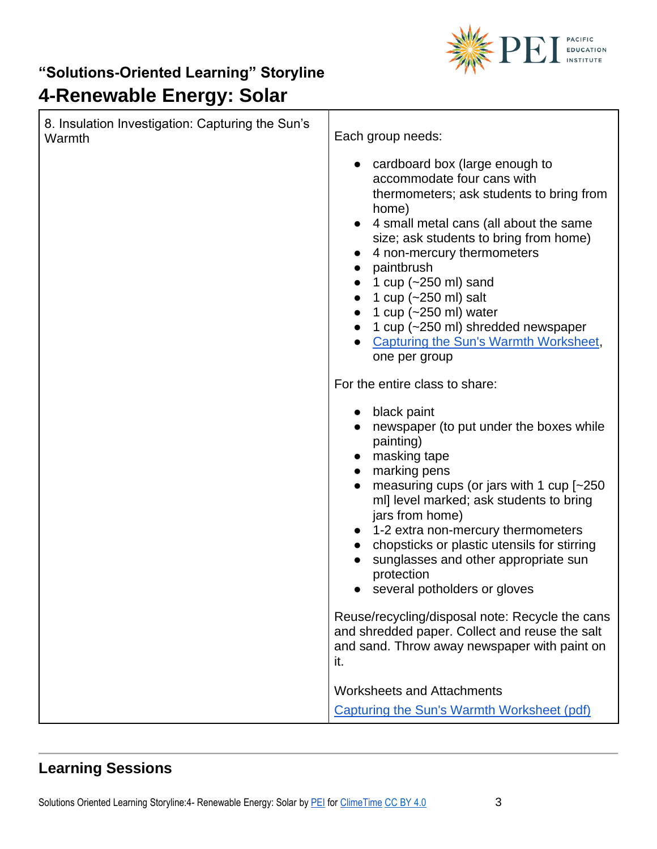

| 8. Insulation Investigation: Capturing the Sun's<br>Warmth | Each group needs:                                                                                                                                                                                                                                                                                                                                                                                                                                       |
|------------------------------------------------------------|---------------------------------------------------------------------------------------------------------------------------------------------------------------------------------------------------------------------------------------------------------------------------------------------------------------------------------------------------------------------------------------------------------------------------------------------------------|
|                                                            | • cardboard box (large enough to<br>accommodate four cans with<br>thermometers; ask students to bring from<br>home)<br>4 small metal cans (all about the same<br>size; ask students to bring from home)<br>4 non-mercury thermometers<br>paintbrush<br>1 cup $(-250 \text{ ml})$ sand<br>1 cup (~250 ml) salt<br>1 cup $(-250 \text{ ml})$ water<br>1 cup (~250 ml) shredded newspaper<br><b>Capturing the Sun's Warmth Worksheet,</b><br>one per group |
|                                                            | For the entire class to share:                                                                                                                                                                                                                                                                                                                                                                                                                          |
|                                                            | black paint<br>newspaper (to put under the boxes while<br>painting)<br>masking tape<br>marking pens<br>measuring cups (or jars with 1 cup [~250<br>ml] level marked; ask students to bring<br>jars from home)<br>1-2 extra non-mercury thermometers<br>chopsticks or plastic utensils for stirring<br>sunglasses and other appropriate sun<br>protection<br>several potholders or gloves                                                                |
|                                                            | Reuse/recycling/disposal note: Recycle the cans<br>and shredded paper. Collect and reuse the salt<br>and sand. Throw away newspaper with paint on<br>it.                                                                                                                                                                                                                                                                                                |
|                                                            | <b>Worksheets and Attachments</b><br>Capturing the Sun's Warmth Worksheet (pdf)                                                                                                                                                                                                                                                                                                                                                                         |

## **Learning Sessions**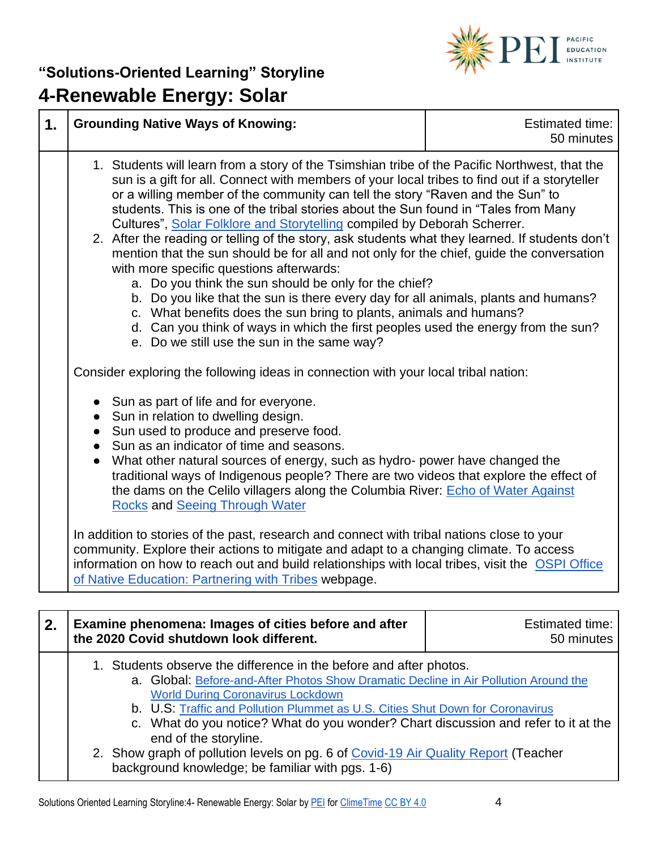

| 1. | <b>Grounding Native Ways of Knowing:</b>                                                                                                                                                                                                                                                                                                                                                                                                                                                                                                                                                                                                                                                                                                                                                                                                                                                                                                                                                                                                                                                                                                                                                                                                                                                                                                                                                                                                                                                                                                                                                                                                                                                                                                                                                                                                                                                                                                                                                 | <b>Estimated time:</b><br>50 minutes |
|----|------------------------------------------------------------------------------------------------------------------------------------------------------------------------------------------------------------------------------------------------------------------------------------------------------------------------------------------------------------------------------------------------------------------------------------------------------------------------------------------------------------------------------------------------------------------------------------------------------------------------------------------------------------------------------------------------------------------------------------------------------------------------------------------------------------------------------------------------------------------------------------------------------------------------------------------------------------------------------------------------------------------------------------------------------------------------------------------------------------------------------------------------------------------------------------------------------------------------------------------------------------------------------------------------------------------------------------------------------------------------------------------------------------------------------------------------------------------------------------------------------------------------------------------------------------------------------------------------------------------------------------------------------------------------------------------------------------------------------------------------------------------------------------------------------------------------------------------------------------------------------------------------------------------------------------------------------------------------------------------|--------------------------------------|
|    | 1. Students will learn from a story of the Tsimshian tribe of the Pacific Northwest, that the<br>sun is a gift for all. Connect with members of your local tribes to find out if a storyteller<br>or a willing member of the community can tell the story "Raven and the Sun" to<br>students. This is one of the tribal stories about the Sun found in "Tales from Many<br>Cultures", Solar Folklore and Storytelling compiled by Deborah Scherrer.<br>2. After the reading or telling of the story, ask students what they learned. If students don't<br>mention that the sun should be for all and not only for the chief, guide the conversation<br>with more specific questions afterwards:<br>a. Do you think the sun should be only for the chief?<br>b. Do you like that the sun is there every day for all animals, plants and humans?<br>c. What benefits does the sun bring to plants, animals and humans?<br>d. Can you think of ways in which the first peoples used the energy from the sun?<br>e. Do we still use the sun in the same way?<br>Consider exploring the following ideas in connection with your local tribal nation:<br>• Sun as part of life and for everyone.<br>• Sun in relation to dwelling design.<br>• Sun used to produce and preserve food.<br>• Sun as an indicator of time and seasons.<br>What other natural sources of energy, such as hydro- power have changed the<br>traditional ways of Indigenous people? There are two videos that explore the effect of<br>the dams on the Celilo villagers along the Columbia River: Echo of Water Against<br><b>Rocks and Seeing Through Water</b><br>In addition to stories of the past, research and connect with tribal nations close to your<br>community. Explore their actions to mitigate and adapt to a changing climate. To access<br>information on how to reach out and build relationships with local tribes, visit the OSPI Office<br>of Native Education: Partnering with Tribes webpage. |                                      |
| 2. | Examine phenomena: Images of cities before and after                                                                                                                                                                                                                                                                                                                                                                                                                                                                                                                                                                                                                                                                                                                                                                                                                                                                                                                                                                                                                                                                                                                                                                                                                                                                                                                                                                                                                                                                                                                                                                                                                                                                                                                                                                                                                                                                                                                                     | Estimated time:                      |

| z. | <b>Examine prichomena. Images of cities before and after</b><br>the 2020 Covid shutdown look different.                                                                                                                                                                                                                                                                                                 | Lournatou urro.<br>50 minutes |
|----|---------------------------------------------------------------------------------------------------------------------------------------------------------------------------------------------------------------------------------------------------------------------------------------------------------------------------------------------------------------------------------------------------------|-------------------------------|
|    | 1. Students observe the difference in the before and after photos.<br>a. Global: Before-and-After Photos Show Dramatic Decline in Air Pollution Around the<br><b>World During Coronavirus Lockdown</b><br>b. U.S: Traffic and Pollution Plummet as U.S. Cities Shut Down for Coronavirus<br>c. What do you notice? What do you wonder? Chart discussion and refer to it at the<br>end of the storyline. |                               |
|    | 2. Show graph of pollution levels on pg. 6 of Covid-19 Air Quality Report (Teacher<br>background knowledge; be familiar with pgs. 1-6)                                                                                                                                                                                                                                                                  |                               |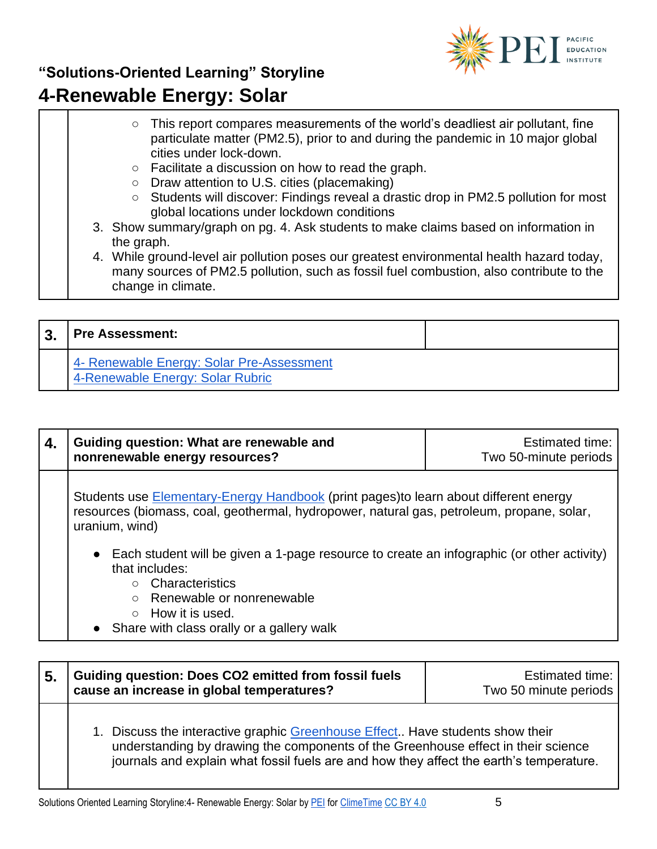

## **"Solutions-Oriented Learning" Storyline**

## **4-Renewable Energy: Solar**

- This report compares measurements of the world's deadliest air pollutant, fine particulate matter (PM2.5), prior to and during the pandemic in 10 major global cities under lock-down.
	- Facilitate a discussion on how to read the graph.
	- Draw attention to U.S. cities (placemaking)
- Students will discover: Findings reveal a drastic drop in PM2.5 pollution for most global locations under lockdown conditions
- 3. Show summary/graph on pg. 4. Ask students to make claims based on information in the graph.
- 4. While ground-level air pollution poses our greatest environmental health hazard today, many sources of PM2.5 pollution, such as fossil fuel combustion, also contribute to the change in climate.

| <b>Pre Assessment:</b>                                                        |  |
|-------------------------------------------------------------------------------|--|
| 4- Renewable Energy: Solar Pre-Assessment<br>4-Renewable Energy: Solar Rubric |  |

| 4. | Guiding question: What are renewable and<br>nonrenewable energy resources?                                                                                                                                  | Estimated time:<br>Two 50-minute periods |
|----|-------------------------------------------------------------------------------------------------------------------------------------------------------------------------------------------------------------|------------------------------------------|
|    | Students use <b>Elementary-Energy Handbook</b> (print pages) to learn about different energy<br>resources (biomass, coal, geothermal, hydropower, natural gas, petroleum, propane, solar,<br>uranium, wind) |                                          |
|    | • Each student will be given a 1-page resource to create an infographic (or other activity)<br>that includes:                                                                                               |                                          |
|    | Characteristics                                                                                                                                                                                             |                                          |
|    | Renewable or nonrenewable                                                                                                                                                                                   |                                          |
|    | $\circ$ How it is used.                                                                                                                                                                                     |                                          |
|    | • Share with class orally or a gallery walk                                                                                                                                                                 |                                          |

| -5. | Guiding question: Does CO2 emitted from fossil fuels<br>cause an increase in global temperatures? | Estimated time:<br>Two 50 minute periods |
|-----|---------------------------------------------------------------------------------------------------|------------------------------------------|
|     | 1. Discuss the interactive graphic Greenhouse Effect. Have students show their                    |                                          |

understanding by drawing the components of the Greenhouse effect in their science journals and explain what fossil fuels are and how they affect the earth's temperature.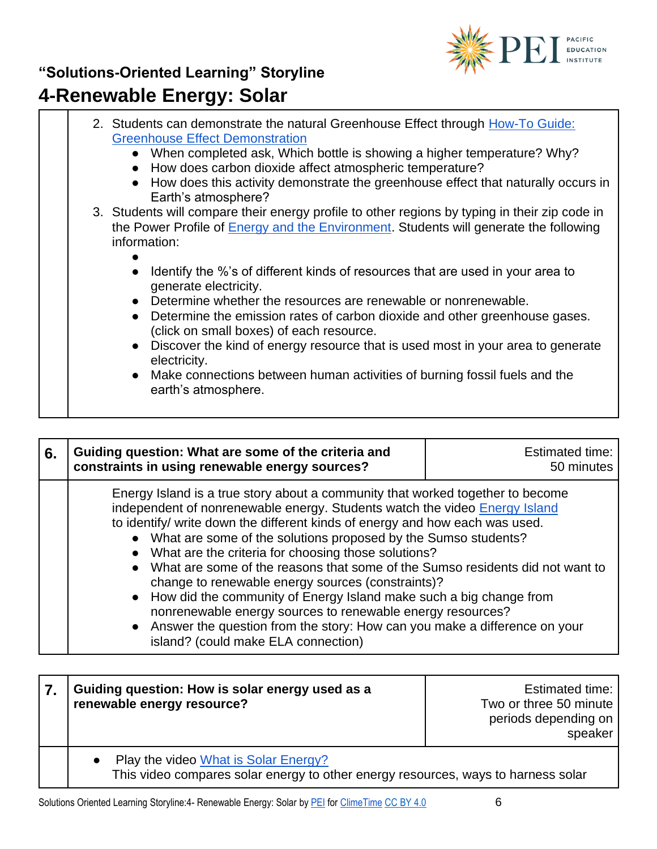

Т

| 2. Students can demonstrate the natural Greenhouse Effect through How-To Guide:                                        |
|------------------------------------------------------------------------------------------------------------------------|
| <b>Greenhouse Effect Demonstration</b>                                                                                 |
| • When completed ask, Which bottle is showing a higher temperature? Why?                                               |
| • How does carbon dioxide affect atmospheric temperature?                                                              |
| How does this activity demonstrate the greenhouse effect that naturally occurs in<br>$\bullet$                         |
| Earth's atmosphere?                                                                                                    |
| 3. Students will compare their energy profile to other regions by typing in their zip code in                          |
| the Power Profile of <b>Energy and the Environment</b> . Students will generate the following                          |
| information:                                                                                                           |
|                                                                                                                        |
| Identify the %'s of different kinds of resources that are used in your area to<br>generate electricity.                |
| Determine whether the resources are renewable or nonrenewable.                                                         |
| Determine the emission rates of carbon dioxide and other greenhouse gases.<br>(click on small boxes) of each resource. |
| • Discover the kind of energy resource that is used most in your area to generate<br>electricity.                      |
| • Make connections between human activities of burning fossil fuels and the<br>earth's atmosphere.                     |
|                                                                                                                        |

| 6. | Guiding question: What are some of the criteria and<br>constraints in using renewable energy sources?                                                                                                                                                                                                                                                                                                                                                                                                                                                                                                                                                                                                                                                                                  | <b>Estimated time:</b><br>50 minutes |
|----|----------------------------------------------------------------------------------------------------------------------------------------------------------------------------------------------------------------------------------------------------------------------------------------------------------------------------------------------------------------------------------------------------------------------------------------------------------------------------------------------------------------------------------------------------------------------------------------------------------------------------------------------------------------------------------------------------------------------------------------------------------------------------------------|--------------------------------------|
|    | Energy Island is a true story about a community that worked together to become<br>independent of nonrenewable energy. Students watch the video Energy Island<br>to identify/ write down the different kinds of energy and how each was used.<br>• What are some of the solutions proposed by the Sumso students?<br>What are the criteria for choosing those solutions?<br>$\bullet$<br>What are some of the reasons that some of the Sumso residents did not want to<br>change to renewable energy sources (constraints)?<br>• How did the community of Energy Island make such a big change from<br>nonrenewable energy sources to renewable energy resources?<br>• Answer the question from the story: How can you make a difference on your<br>island? (could make ELA connection) |                                      |

#### **7. Guiding question: How is solar energy used as a renewable energy resource?** Estimated time: Two or three 50 minute periods depending on speaker ● Play the video What is Solar Energy? This video compares solar energy to other energy resources, ways to harness solar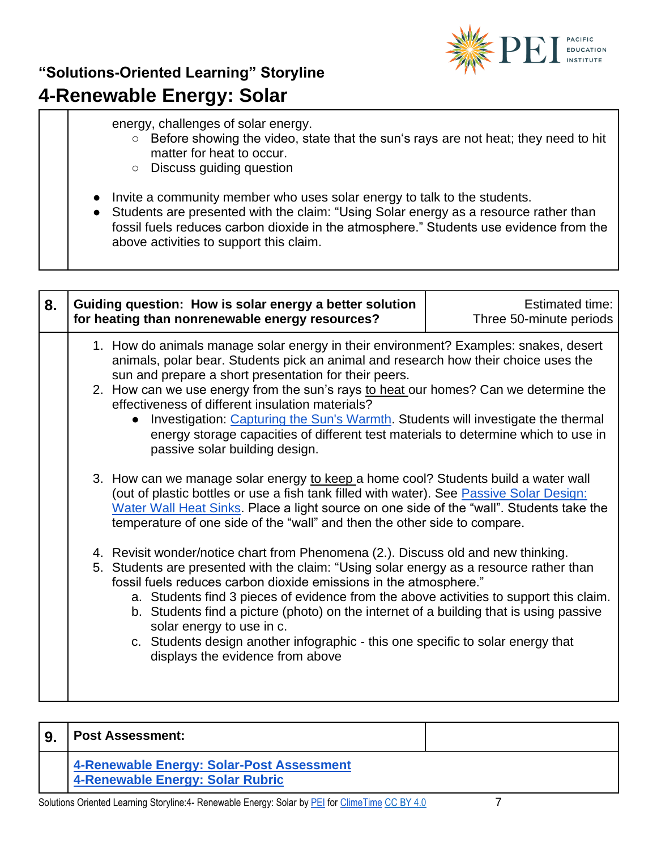

#### energy, challenges of solar energy.

- Before showing the video, state that the sun's rays are not heat; they need to hit matter for heat to occur.
- Discuss guiding question
- Invite a community member who uses solar energy to talk to the students.
- Students are presented with the claim: "Using Solar energy as a resource rather than fossil fuels reduces carbon dioxide in the atmosphere." Students use evidence from the above activities to support this claim.

| 8. | Guiding question: How is solar energy a better solution<br>for heating than nonrenewable energy resources?                                                                                                                                                                                                                                                                                                                                                                                                                                                                                   | <b>Estimated time:</b><br>Three 50-minute periods |
|----|----------------------------------------------------------------------------------------------------------------------------------------------------------------------------------------------------------------------------------------------------------------------------------------------------------------------------------------------------------------------------------------------------------------------------------------------------------------------------------------------------------------------------------------------------------------------------------------------|---------------------------------------------------|
|    | 1. How do animals manage solar energy in their environment? Examples: snakes, desert<br>animals, polar bear. Students pick an animal and research how their choice uses the<br>sun and prepare a short presentation for their peers.<br>2. How can we use energy from the sun's rays to heat our homes? Can we determine the<br>effectiveness of different insulation materials?<br>Investigation: Capturing the Sun's Warmth. Students will investigate the thermal<br>energy storage capacities of different test materials to determine which to use in<br>passive solar building design. |                                                   |
|    | 3. How can we manage solar energy to keep a home cool? Students build a water wall<br>(out of plastic bottles or use a fish tank filled with water). See Passive Solar Design:<br>Water Wall Heat Sinks. Place a light source on one side of the "wall". Students take the<br>temperature of one side of the "wall" and then the other side to compare.                                                                                                                                                                                                                                      |                                                   |
|    | 4. Revisit wonder/notice chart from Phenomena (2.). Discuss old and new thinking.<br>5. Students are presented with the claim: "Using solar energy as a resource rather than<br>fossil fuels reduces carbon dioxide emissions in the atmosphere."<br>a. Students find 3 pieces of evidence from the above activities to support this claim.<br>b. Students find a picture (photo) on the internet of a building that is using passive<br>solar energy to use in c.<br>c. Students design another infographic - this one specific to solar energy that<br>displays the evidence from above    |                                                   |

| <b>Post Assessment:</b>                                                       |  |
|-------------------------------------------------------------------------------|--|
| 4-Renewable Energy: Solar-Post Assessment<br>4-Renewable Energy: Solar Rubric |  |